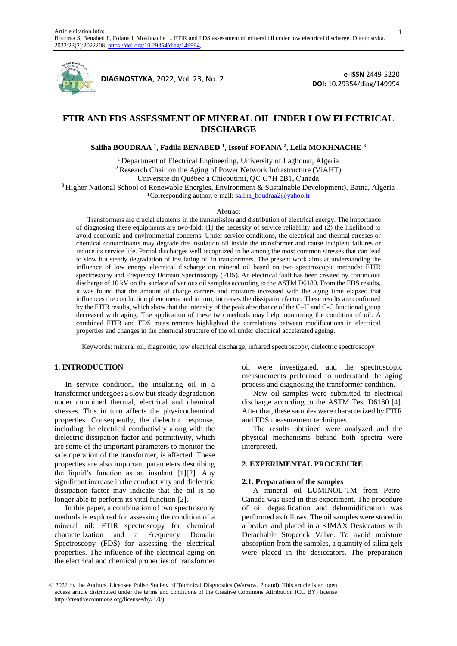

**DIAGNOSTYKA**, 2022, Vol. 23, No. 2

**e-ISSN** 2449-5220 **DOI:** 10.29354/diag/149994

# **FTIR AND FDS ASSESSMENT OF MINERAL OIL UNDER LOW ELECTRICAL DISCHARGE**

## **Saliha BOUDRAA <sup>1</sup> , Fadila BENABED <sup>1</sup> , Issouf FOFANA <sup>2</sup> , Leila MOKHNACHE <sup>3</sup>**

<sup>1</sup> Department of Electrical Engineering, University of Laghouat, Algeria <sup>2</sup> Research Chair on the Aging of Power Network Infrastructure (ViAHT)

Université du Québec à Chicoutimi, QC G7H 2B1, Canada

<sup>3</sup> Higher National School of Renewable Energies, Environment & Sustainable Development), Batna, Algeria \*Corresponding author, e-mail[: saliha\\_boudraa2@yahoo.fr](mailto:saliha_boudraa2@yahoo.fr)

#### Abstract

Transformers are crucial elements in the transmission and distribution of electrical energy. The importance of diagnosing these equipments are two-fold: (1) the necessity of service reliability and (2) the likelihood to avoid economic and environmental concerns. Under service conditions, the electrical and thermal stresses or chemical contaminants may degrade the insulation oil inside the transformer and cause incipient failures or reduce its service life. Partial discharges well recognized to be among the most common stresses that can lead to slow but steady degradation of insulating oil in transformers. The present work aims at understanding the influence of low energy electrical discharge on mineral oil based on two spectroscopic methods: FTIR spectroscopy and Frequency Domain Spectroscopy (FDS). An electrical fault has been created by continuous discharge of 10 kV on the surface of various oil samples according to the ASTM D6180. From the FDS results, it was found that the amount of charge carriers and moisture increased with the aging time elapsed that influences the conduction phenomena and in turn, increases the dissipation factor. These results are confirmed by the FTIR results, which show that the intensity of the peak absorbance of the C–H and C-C functional group decreased with aging. The application of these two methods may help monitoring the condition of oil. A combined FTIR and FDS measurements highlighted the correlations between modifications in electrical properties and changes in the chemical structure of the oil under electrical accelerated ageing.

Keywords: mineral oil, diagnostic, low electrical discharge, infrared spectroscopy, dielectric spectroscopy

## **1. INTRODUCTION**

In service condition, the insulating oil in a transformer undergoes a slow but steady degradation under combined thermal, electrical and chemical stresses. This in turn affects the physicochemical properties. Consequently, the dielectric response, including the electrical conductivity along with the dielectric dissipation factor and permittivity, which are some of the important parameters to monitor the safe operation of the transformer, is affected. These properties are also important parameters describing the liquid's function as an insulant [1][2]. Any significant increase in the conductivity and dielectric dissipation factor may indicate that the oil is no longer able to perform its vital function [2].

In this paper, a combination of two spectroscopy methods is explored for assessing the condition of a mineral oil: FTIR spectroscopy for chemical characterization and a Frequency Domain Spectroscopy (FDS) for assessing the electrical properties. The influence of the electrical aging on the electrical and chemical properties of transformer oil were investigated, and the spectroscopic measurements performed to understand the aging process and diagnosing the transformer condition.

New oil samples were submitted to electrical discharge according to the ASTM Test D6180 [4]. After that, these samples were characterized by FTIR and FDS measurement techniques.

The results obtained were analyzed and the physical mechanisms behind both spectra were interpreted.

## **2. EXPERIMENTAL PROCEDURE**

#### **2.1. Preparation of the samples**

A mineral oil LUMINOL-TM from Petro-Canada was used in this experiment. The procedure of oil degasification and dehumidification was performed as follows. The oil samples were stored in a beaker and placed in a KIMAX Desiccators with Detachable Stopcock Valve. To avoid moisture absorption from the samples, a quantity of silica gels were placed in the desiccators. The preparation

1

<sup>© 2022</sup> by the Authors. Licensee Polish Society of Technical Diagnostics (Warsow. Poland). This article is an open access article distributed under the terms and conditions of the Creative Commons Attribution (CC BY) license http://creativecommons.org/licenses/by/4.0/).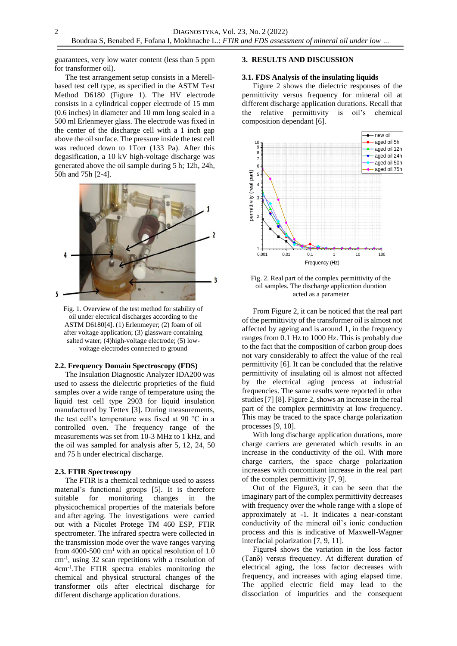guarantees, very low water content (less than 5 ppm for transformer oil).

The test arrangement setup consists in a Merellbased test cell type, as specified in the ASTM Test Method D6180 (Figure 1). The HV electrode consists in a cylindrical copper electrode of 15 mm (0.6 inches) in diameter and 10 mm long sealed in a 500 ml Erlenmeyer glass. The electrode was fixed in the center of the discharge cell with a 1 inch gap above the oil surface. The pressure inside the test cell was reduced down to 1Torr (133 Pa). After this degasification, a 10 kV high-voltage discharge was generated above the oil sample during 5 h; 12h, 24h, 50h and 75h [2-4].



Fig. 1. Overview of the test method for stability of oil under electrical discharges according to the ASTM D6180[4]. (1) Erlenmeyer; (2) foam of oil after voltage application; (3) glassware containing salted water; (4)high-voltage electrode; (5) lowvoltage electrodes connected to ground

## **2.2. Frequency Domain Spectroscopy (FDS)**

The Insulation Diagnostic Analyzer IDA200 was used to assess the dielectric proprieties of the fluid samples over a wide range of temperature using the liquid test cell type 2903 for liquid insulation manufactured by Tettex [3]. During measurements, the test cell's temperature was fixed at 90 °C in a controlled oven. The frequency range of the measurements was set from 10-3 MHz to 1 kHz, and the oil was sampled for analysis after 5, 12, 24, 50 and 75 h under electrical discharge.

## **2.3. FTIR Spectroscopy**

The FTIR is a chemical technique used to assess material's functional groups [5]. It is therefore suitable for monitoring changes in the physicochemical properties of the materials before and after ageing. The investigations were carried out with a Nicolet Protege TM 460 ESP, FTIR spectrometer. The infrared spectra were collected in the transmission mode over the wave ranges varying from 4000-500 cm<sup>1</sup> with an optical resolution of 1.0 cm-1 , using 32 scan repetitions with a resolution of 4cm-1 .The FTIR spectra enables monitoring the chemical and physical structural changes of the transformer oils after electrical discharge for different discharge application durations.

## **3. RESULTS AND DISCUSSION**

### **3.1. FDS Analysis of the insulating liquids**

Figure 2 shows the dielectric responses of the permittivity versus frequency for mineral oil at different discharge application durations. Recall that the relative permittivity is oil's chemical composition dependant [6].



Fig. 2. Real part of the complex permittivity of the oil samples. The discharge application duration acted as a parameter

From Figure 2, it can be noticed that the real part of the permittivity of the transformer oil is almost not affected by ageing and is around 1, in the frequency ranges from 0.1 Hz to 1000 Hz. This is probably due to the fact that the composition of carbon group does not vary considerably to affect the value of the real permittivity [6]. It can be concluded that the relative permittivity of insulating oil is almost not affected by the electrical aging process at industrial frequencies. The same results were reported in other studies [7] [8]. Figure 2, shows an increase in the real part of the complex permittivity at low frequency. This may be traced to the space charge polarization processes [9, 10].

With long discharge application durations, more charge carriers are generated which results in an increase in the conductivity of the oil. With more charge carriers, the space charge polarization increases with concomitant increase in the real part of the complex permittivity [7, 9].

Out of the Figure3, it can be seen that the imaginary part of the complex permittivity decreases with frequency over the whole range with a slope of approximately at -1. It indicates a near-constant conductivity of the mineral oil's ionic conduction process and this is indicative of Maxwell-Wagner interfacial polarization [7, 9, 11].

Figure4 shows the variation in the loss factor (Tanδ) versus frequency. At different duration of electrical aging, the loss factor decreases with frequency, and increases with aging elapsed time. The applied electric field may lead to the dissociation of impurities and the consequent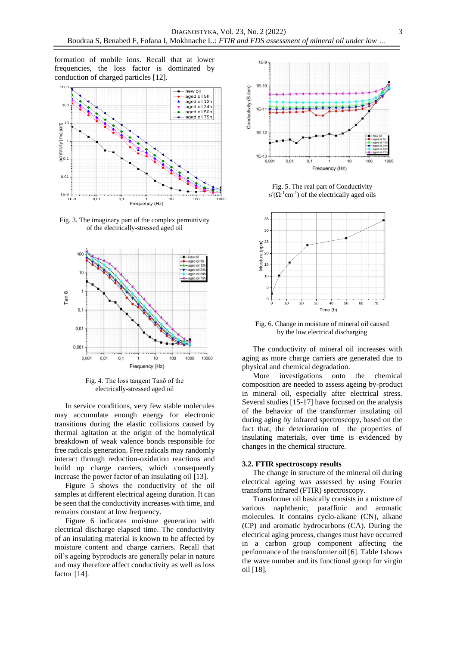formation of mobile ions. Recall that at lower frequencies, the loss factor is dominated by conduction of charged particles [12].



Fig. 3. The imaginary part of the complex permittivity of the electrically-stressed aged oil



Fig. 4. The loss tangent Tanδ of the electrically-stressed aged oil

In service conditions, very few stable molecules may accumulate enough energy for electronic transitions during the elastic collisions caused by thermal agitation at the origin of the homolytical breakdown of weak valence bonds responsible for free radicals generation. Free radicals may randomly interact through reduction-oxidation reactions and build up charge carriers, which consequently increase the power factor of an insulating oil [13].

Figure 5 shows the conductivity of the oil samples at different electrical ageing duration. It can be seen that the conductivity increases with time, and remains constant at low frequency.

Figure 6 indicates moisture generation with electrical discharge elapsed time. The conductivity of an insulating material is known to be affected by moisture content and charge carriers. Recall that oil's ageing byproducts are generally polar in nature and may therefore affect conductivity as well as loss factor [14].



Fig. 5. The real part of Conductivity  $σ'(Ω<sup>-1</sup> cm<sup>-1</sup>)$  of the electrically aged oils



Fig. 6. Change in moisture of mineral oil caused by the low electrical discharging

The conductivity of mineral oil increases with aging as more charge carriers are generated due to physical and chemical degradation.

More investigations onto the chemical composition are needed to assess ageing by-product in mineral oil, especially after electrical stress. Several studies [15-17] have focused on the analysis of the behavior of the transformer insulating oil during aging by infrared spectroscopy, based on the fact that, the deterioration of the properties of insulating materials, over time is evidenced by changes in the chemical structure.

## **3.2. FTIR spectroscopy results**

The change in structure of the mineral oil during electrical ageing was assessed by using Fourier transform infrared (FTIR) spectroscopy.

Transformer oil basically consists in a mixture of various naphthenic, paraffinic and aromatic molecules. It contains cyclo-alkane (CN), alkane (CP) and aromatic hydrocarbons (CA). During the electrical aging process, changes must have occurred in a carbon group component affecting the performance of the transformer oil [6]. Table 1shows the wave number and its functional group for virgin oil [18].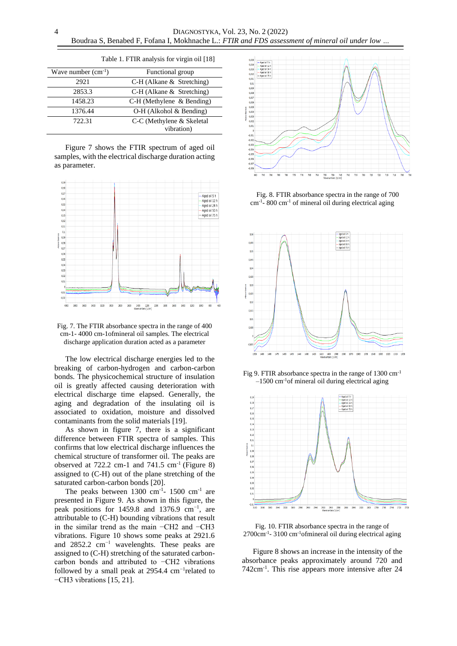| Wave number $(cm^{-1})$ | Functional group              |
|-------------------------|-------------------------------|
| 2921                    | $C-H$ (Alkane & Stretching)   |
| 2853.3                  | $C-H$ (Alkane $&$ Stretching) |
| 1458.23                 | C-H (Methylene & Bending)     |
| 1376.44                 | $O-H$ (Alkohol & Bending)     |
| 722.31                  | C-C (Methylene & Skeletal     |
|                         | vibration)                    |

Table 1. FTIR analysis for virgin oil [18]

Figure 7 shows the FTIR spectrum of aged oil samples, with the electrical discharge duration acting as parameter.



Fig. 7. The FTIR absorbance spectra in the range of 400 cm-1- 4000 cm-1ofmineral oil samples. The electrical discharge application duration acted as a parameter

The low electrical discharge energies led to the breaking of carbon-hydrogen and carbon-carbon bonds. The physicochemical structure of insulation oil is greatly affected causing deterioration with electrical discharge time elapsed. Generally, the aging and degradation of the insulating oil is associated to oxidation, moisture and dissolved contaminants from the solid materials [19].

As shown in figure 7, there is a significant difference between FTIR spectra of samples. This confirms that low electrical discharge influences the chemical structure of transformer oil. The peaks are observed at  $722.2$  cm-1 and  $741.5$  cm<sup>-1</sup> (Figure 8) assigned to (C-H) out of the plane stretching of the saturated carbon-carbon bonds [20].

The peaks between  $1300 \text{ cm}^{-1}$ -  $1500 \text{ cm}^{-1}$  are presented in Figure 9. As shown in this figure, the peak positions for 1459.8 and 1376.9 cm−1, are attributable to (C-H) bounding vibrations that result in the similar trend as the main −CH2 and −CH3 vibrations. Figure 10 shows some peaks at 2921.6 and 2852.2 cm−1 wavelenghts. These peaks are assigned to (C-H) stretching of the saturated carboncarbon bonds and attributed to −CH2 vibrations followed by a small peak at 2954.4  $cm^{-1}$ related to −CH3 vibrations [15, 21].



Fig. 8. FTIR absorbance spectra in the range of 700 cm-1 - 800 cm-1 of mineral oil during electrical aging



Fig 9. FTIR absorbance spectra in the range of 1300 cm-1  $-1500$  cm<sup>-1</sup>of mineral oil during electrical aging



Fig. 10. FTIR absorbance spectra in the range of 2700cm-1 - 3100 cm-1ofmineral oil during electrical aging

Figure 8 shows an increase in the intensity of the absorbance peaks approximately around 720 and 742cm-1 . This rise appears more intensive after 24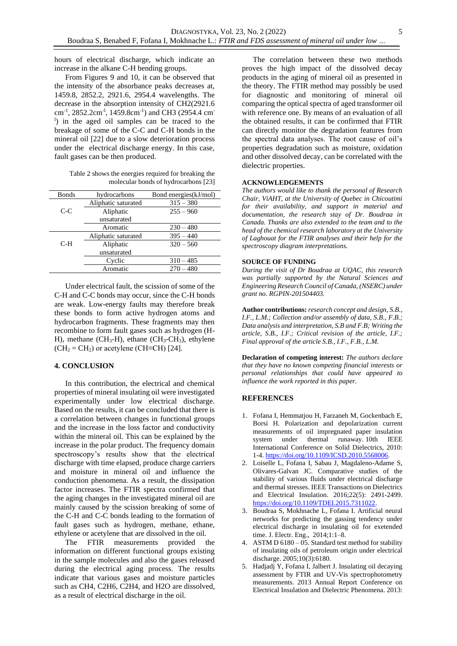hours of electrical discharge, which indicate an increase in the alkane C-H bending groups.

From Figures 9 and 10, it can be observed that the intensity of the absorbance peaks decreases at, 1459.8, 2852.2, 2921.6, 2954.4 wavelengths. The decrease in the absorption intensity of CH2(2921.6 cm-1 , 2852.2cm-l , 1459.8cm-1 ) and CH3 (2954.4 cm-<sup>1</sup>) in the aged oil samples can be traced to the breakage of some of the C-C and C-H bonds in the mineral oil [22] due to a slow deterioration process under the electrical discharge energy. In this case, fault gases can be then produced.

Table 2 shows the energies required for breaking the molecular bonds of hydrocarbons [23]

| hydrocarbons        | Bond energies(kJ/mol) |
|---------------------|-----------------------|
| Aliphatic saturated | $315 - 380$           |
| Aliphatic           | $255 - 960$           |
| unsaturated         |                       |
| Aromatic            | $230 - 480$           |
| Aliphatic saturated | $395 - 440$           |
| Aliphatic           | $320 - 560$           |
| unsaturated         |                       |
| Cyclic              | $310 - 485$           |
| Aromatic            | $270 - 480$           |
|                     |                       |

Under electrical fault, the scission of some of the C-H and C-C bonds may occur, since the C-H bonds are weak. Low-energy faults may therefore break these bonds to form active hydrogen atoms and hydrocarbon fragments. These fragments may then recombine to form fault gases such as hydrogen (H-H), methane (CH3-H), ethane (CH3-CH3), ethylene  $(CH<sub>2</sub> = CH<sub>2</sub>)$  or acetylene (CH≡CH) [24].

## **4. CONCLUSION**

In this contribution, the electrical and chemical properties of mineral insulating oil were investigated experimentally under low electrical discharge. Based on the results, it can be concluded that there is a correlation between changes in functional groups and the increase in the loss factor and conductivity within the mineral oil. This can be explained by the increase in the polar product. The frequency domain spectroscopy's results show that the electrical discharge with time elapsed, produce charge carriers and moisture in mineral oil and influence the conduction phenomena. As a result, the dissipation factor increases. The FTIR spectra confirmed that the aging changes in the investigated mineral oil are mainly caused by the scission breaking of some of the C-H and C-C bonds leading to the formation of fault gases such as hydrogen, methane, ethane, ethylene or acetylene that are dissolved in the oil.

The FTIR measurements provided the information on different functional groups existing in the sample molecules and also the gases released during the electrical aging process. The results indicate that various gases and moisture particles such as CH4, C2H6, C2H4, and H2O are dissolved, as a result of electrical discharge in the oil.

The correlation between these two methods proves the high impact of the dissolved decay products in the aging of mineral oil as presented in the theory. The FTIR method may possibly be used for diagnostic and monitoring of mineral oil comparing the optical spectra of aged transformer oil with reference one. By means of an evaluation of all the obtained results, it can be confirmed that FTIR can directly monitor the degradation features from the spectral data analyses. The root cause of oil's properties degradation such as moisture, oxidation and other dissolved decay, can be correlated with the dielectric properties.

### **ACKNOWLEDGEMENTS**

*The authors would like to thank the personal of Research Chair, ViAHT, at the University of Quebec in Chicoutimi for their availability, and support in material and documentation, the research stay of Dr. Boudraa in Canada. Thanks are also extended to the team and to the head of the chemical research laboratory at the University of Laghouat for the FTIR analyses and their help for the spectroscopy diagram interpretations.*

### **SOURCE OF FUNDING**

*During the visit of Dr Boudraa at UQAC, this research was partially supported by the Natural Sciences and Engineering Research Council of Canada, (NSERC) under grant no. RGPIN-201504403.*

**Author contributions:** *research concept and design, S.B., I.F., L.M.; Collection and/or assembly of data, S.B., F.B.; Data analysis and interpretation, S.B and F.B; Writing the article, S.B., I.F.; Critical revision of the article, I.F.; Final approval of the article S.B., I.F., F.B., L.M.*

**Declaration of competing interest:** *The authors declare that they have no known competing financial interests or personal relationships that could have appeared to influence the work reported in this paper.*

## **REFERENCES**

- 1. Fofana I, Hemmatjou H, Farzaneh M, Gockenbach E, Borsi H. Polarization and depolarization current measurements of oil impregnated paper insulation system under thermal runaway. 10th IEEE International Conference on Solid Dielectrics, 2010: 1-4. [https://doi.org/10.1109/ICSD.2010.5568006.](https://doi.org/10.1109/ICSD.2010.5568006)
- 2. Loiselle L, Fofana I, Sabau J, Magdaleno-Adame S, Olivares-Galvan JC. Comparative studies of the stability of various fluids under electrical discharge and thermal stresses. IEEE Transactions on Dielectrics and Electrical Insulation. 2016;22(5): 2491-2499. [https://doi.org/10.1109/TDEI.2015.7311022.](https://doi.org/10.1109/TDEI.2015.7311022)
- 3. Boudraa S, Mokhnache L, Fofana I. Artificial neural networks for predicting the gassing tendency under electrical discharge in insulating oil for exetended time. J. Electr. Eng., 2014;1:1–8.
- 4. ASTM D 6180 05. Standard test method for stability of insulating oils of petroleum origin under electrical discharge. 2005;10(3):6180.
- 5. Hadjadj Y, Fofana I, Jalbert J. Insulating oil decaying assessment by FTIR and UV-Vis spectrophotometry measurements. 2013 Annual Report Conference on Electrical Insulation and Dielectric Phenomena. 2013: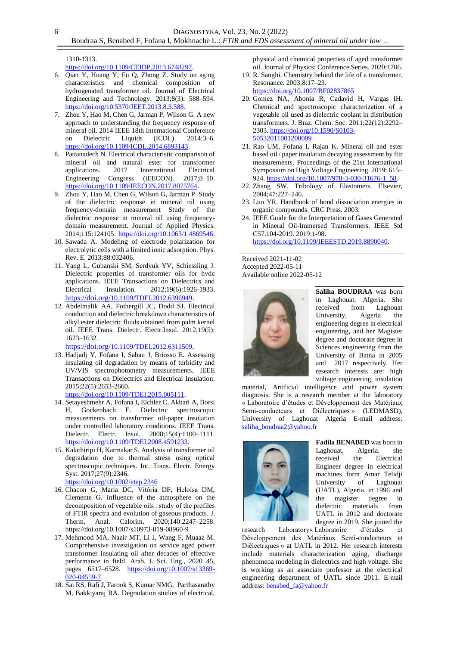1310-1313.

6

[https://doi.org/10.1109/CEIDP.2013.6748297.](https://doi.org/10.1109/CEIDP.2013.6748297)

- 6. Qian Y, Huang Y, Fu Q, Zhong Z. Study on aging characteristics and chemical composition of hydrogenated transformer oil. Journal of Electrical Engineering and Technology. 2013;8(3): 588–594. [https://doi.org/10.5370/JEET.2013.8.3.588.](https://doi.org/10.5370/JEET.2013.8.3.588)
- 7. Zhou Y, Hao M, Chen G, Jarman P, Wilson G. A new approach to understanding the frequency response of mineral oil. 2014 IEEE 18th International Conference on Dielectric Liquids (ICDL). 2014:3–6. [https://doi.org/10.1109/ICDL.2014.6893143.](https://doi.org/10.1109/ICDL.2014.6893143)
- 8. Pattanadech N. Electrical characteristic comparison of mineral oil and natural ester for transformer applications. 2017 International Electrical Engineering Congress (iEECON). 2017;8–10. [https://doi.org/10.1109/IEECON.2017.8075764.](https://doi.org/10.1109/IEECON.2017.8075764)
- 9. Zhou Y, Hao M, Chen G, Wilson G, Jarman P. Study of the dielectric response in mineral oil using frequency-domain measurement Study of the dielectric response in mineral oil using frequencydomain measurement. Journal of Applied Physics. 2014;115:124105. [https://doi.org/10.1063/1.4869546.](https://doi.org/10.1063/1.4869546)
- 10. Sawada A. Modeling of electrode polarization for electrolytic cells with a limited ionic adsorption. Phys. Rev. E. 2013;88:032406.
- 11. Yang L, Gubanski SM, Serdyuk YV, Schiessling J. Dielectric properties of transformer oils for hvdc applications. IEEE Transactions on Dielectrics and Electrical Insulation. 2012;19(6):1926-1933. [https://doi.org/](https://doi.org/10.1109/TDEI.2012.6396949)10.[1109/TDEI.2012.6396949](https://doi.org/10.1109/TDEI.2012.6396949).
- 12. Abdelmalik AA, Fothergill JC, Dodd SJ. Electrical conduction and dielectric breakdown characteristics of alkyl ester dielectric fluids obtained from palm kernel oil. IEEE Trans. Dielectr. Electr.Insul. 2012;19(5): 1623–1632.

[https://doi.org/](https://doi.org/10.1109/TDEI.2012.6311509)[10.1109/TDEI.2012.6311509](https://doi.org/10.1109/TDEI.2012.6311509).

- 13. Hadjadj Y, Fofana I, Sabau J, Briosso E. Assessing insulating oil degradation by means of turbidity and UV/VIS spectrophotometry measurements. IEEE Transactions on Dielectrics and Electrical Insulation. 2015;22(5):2653-2660. [https://doi.org/10.1109/TDEI.2015.005111.](https://doi.org/10.1109/TDEI.2015.005111)
- 14. Setayeshmehr A, Fofana I, Eichler C, Akbari A, Borsi H, Gockenbach E. Dielectric spectroscopic measurements on transformer oil-paper insulation under controlled laboratory conditions. IEEE Trans. Dielectr. Electr. Insul. 2008;15(4):1100–1111. [https://doi.org/10.1109/TDEI.2008.4591233.](https://doi.org/10.1109/TDEI.2008.4591233)
- 15. Kalathiripi H, Karmakar S. Analysis of transformer oil degradation due to thermal stress using optical spectroscopic techniques. Int. Trans. Electr. Energy Syst. 2017;27(9):2346. <https://doi.org/10.1002/etep.2346>
- 16. Chacon G, Maria DC, Vitória DF, Heloísa DM, Clemente G. Influence of the atmosphere on the decomposition of vegetable oils : study of the profiles of FTIR spectra and evolution of gaseous products. J.<br>Therm. Anal. Calorim. 2020;140:2247–2258. Therm. Anal. Calorim. 2020;140:2247–2258. https://doi.org/10.1007/s10973-019-08960-9
- 17. Mehmood MA, Nazir MT, Li J, Wang F, Muaaz M. Comprehensive investigation on service aged power transformer insulating oil after decades of effective performance in field. Arab. J. Sci. Eng., 2020 45, pages 6517–6528. [https://doi.org/10.1007/s13369-](https://doi.org/10.1007/s13369-020-04559-7) [020-04559-7.](https://doi.org/10.1007/s13369-020-04559-7)
- 18. Sai RS, Rafi J, Farook S, Kumar NMG, Parthasarathy M, Bakkiyaraj RA. Degradation studies of electrical,

physical and chemical properties of aged transformer oil. Journal of Physics: Conference Series. 2020:1706.

- 19. R. Sanghi. Chemistry behind the life of a transformer. Resonance. 2003;8:17–23.
- <https://doi.org/10.1007/BF02837865>
- 20. Gomez NA, Abonia R, Cadavid H, Vargas IH. Chemical and spectroscopic characterization of a vegetable oil used as dielectric coolant in distribution transformers. J. Braz. Chem. Soc. 2011;22(12):2292– 2303. [https://doi.org/10.1590/S0103-](https://doi.org/10.1590/S0103-50532011001200009) [50532011001200009](https://doi.org/10.1590/S0103-50532011001200009)
- 21. Rao UM, Fofana I, Rajan K. Mineral oil and ester based oil / paper insulation decaying assessment by ftir measurements. Proceedings of the 21st International Symposium on High Voltage Engineering. 2019: 615– 924. [https://doi.org/10.1007/978-3-030-31676-1\\_58.](https://doi.org/10.1007/978-3-030-31676-1_58)
- 22. Zhang SW. Tribology of Elastomers. Elsevier, 2004;47:227–246.
- 23. Luo YR. Handbook of bond dissociation energies in organic compounds. CRC Press. 2003.
- 24. IEEE Guide for the Interpretation of Gases Generated in Mineral Oil-Immersed Transformers. IEEE Std C57.104-2019. 2019:1-98. [https://doi.org/10.1109/IEEESTD.2019.8890040.](https://doi.org/10.1109/IEEESTD.2019.8890040)

Received 2021-11-02 Accepted 2022-05-11 Available online 2022-05-12



**Saliha BOUDRAA** was born in Laghouat, Algeria. She received from Laghouat University, Algeria the engineering degree in electrical engineering, and her Magister degree and doctorate degree in Sciences engineering from the University of Batna in 2005 and 2017 respectively. Her research interests are: high voltage engineering, insulation

material, Artificial intelligence and power system diagnosis. She is a research member at the laboratory « Laboratoire d'études et Développement des Matériaux Semi-conducteurs et Diélectriques » (LEDMASD), University of Laghouat Algeria E-mail address: [saliha\\_boudraa2@yahoo.fr](mailto:saliha_boudraa2@yahoo.fr)



**Fadila BENABED** was born in Laghouat, Algeria. she received the Electrical Engineer degree in electrical machines form Amar Telidji University of Laghouat (UATL), Algeria, in 1996 and the magister degree in dielectric materials from UATL in 2012 and doctorate degree in 2019. She joined the

research Laboratory« Laboratoire d'études et Développement des Matériaux Semi-conducteurs et Diélectriques » at UATL in 2012. Her research interests include materials characterization aging, discharge phenomena modeling in dielectrics and high voltage. She is working as an associate professor at the electrical engineering department of UATL since 2011. E-mail address: [benabed\\_fa@yahoo.fr](mailto:benabed_fa@yahoo.fr)